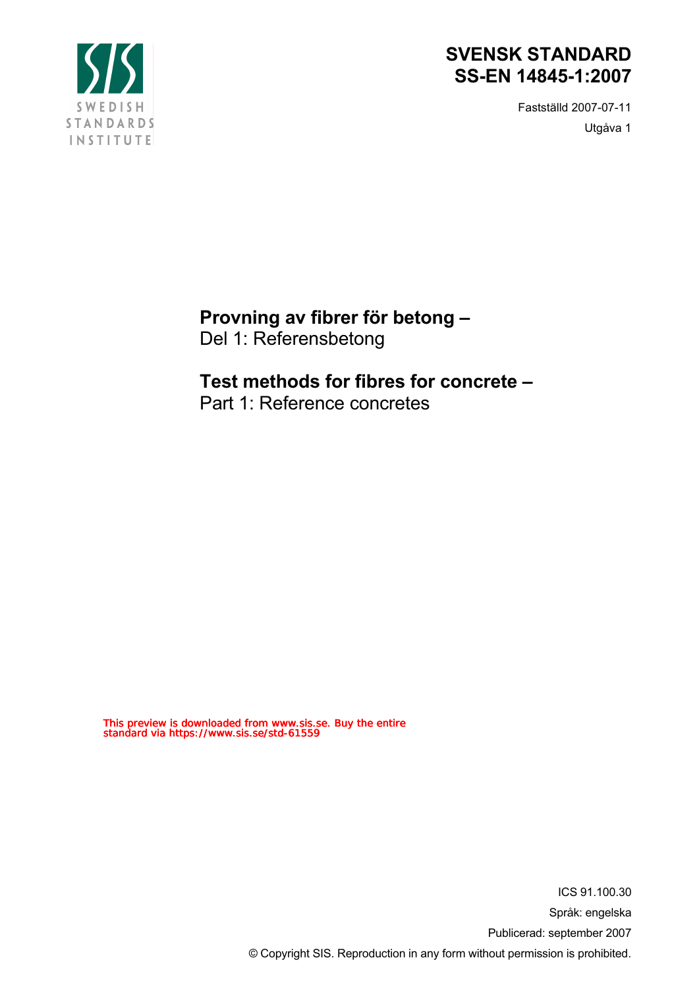

Fastställd 2007-07-11 Utgåva 1



**Provning av fibrer för betong –** Del 1: Referensbetong

## **Test methods for fibres for concrete –**

Part 1: Reference concretes

This preview is downloaded from www.sis.se. Buy the entire standard via https://www.sis.se/std-61559

> ICS 91.100.30 Språk: engelska Publicerad: september 2007 © Copyright SIS. Reproduction in any form without permission is prohibited.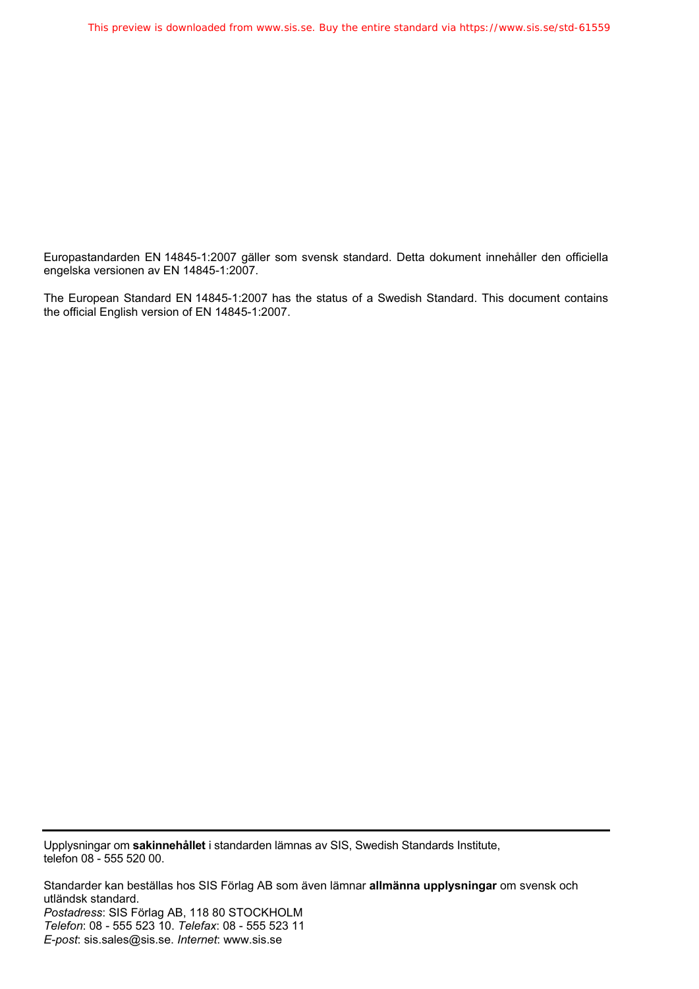Europastandarden EN 14845-1:2007 gäller som svensk standard. Detta dokument innehåller den officiella engelska versionen av EN 14845-1:2007.

The European Standard EN 14845-1:2007 has the status of a Swedish Standard. This document contains the official English version of EN 14845-1:2007.

Upplysningar om **sakinnehållet** i standarden lämnas av SIS, Swedish Standards Institute, telefon 08 - 555 520 00.

Standarder kan beställas hos SIS Förlag AB som även lämnar **allmänna upplysningar** om svensk och utländsk standard. *Postadress*: SIS Förlag AB, 118 80 STOCKHOLM *Telefon*: 08 - 555 523 10. *Telefax*: 08 - 555 523 11 *E-post*: sis.sales@sis.se. *Internet*: www.sis.se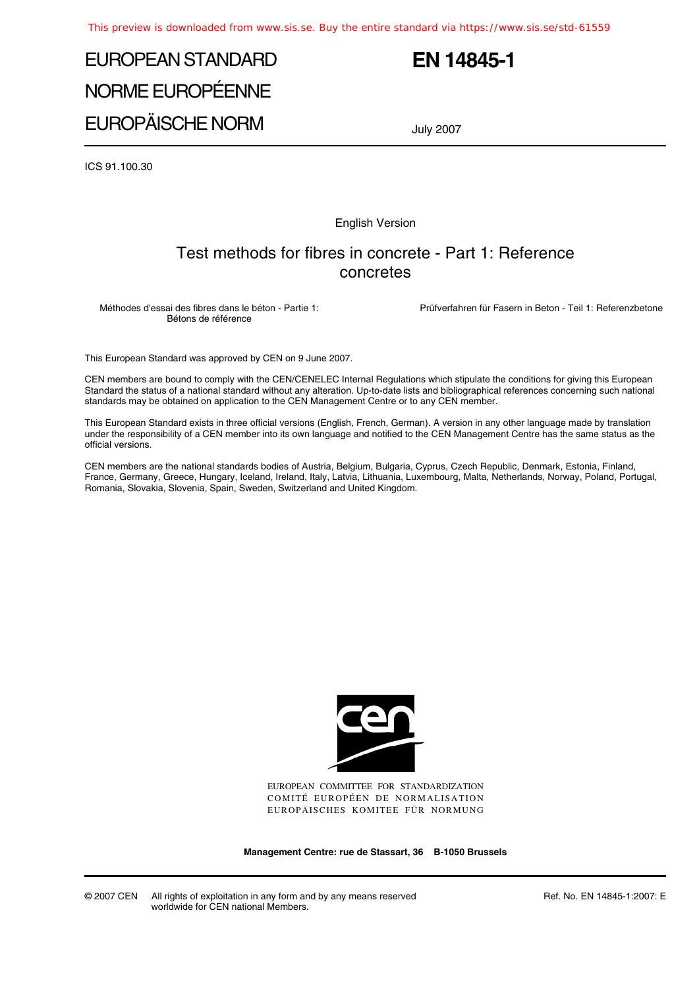# EUROPEAN STANDARD NORME EUROPÉENNE EUROPÄISCHE NORM

## **EN 14845-1**

July 2007

ICS 91.100.30

English Version

### Test methods for fibres in concrete - Part 1: Reference concretes

Méthodes d'essai des fibres dans le béton - Partie 1: Bétons de référence

Prüfverfahren für Fasern in Beton - Teil 1: Referenzbetone

This European Standard was approved by CEN on 9 June 2007.

CEN members are bound to comply with the CEN/CENELEC Internal Regulations which stipulate the conditions for giving this European Standard the status of a national standard without any alteration. Up-to-date lists and bibliographical references concerning such national standards may be obtained on application to the CEN Management Centre or to any CEN member.

This European Standard exists in three official versions (English, French, German). A version in any other language made by translation under the responsibility of a CEN member into its own language and notified to the CEN Management Centre has the same status as the official versions.

CEN members are the national standards bodies of Austria, Belgium, Bulgaria, Cyprus, Czech Republic, Denmark, Estonia, Finland, France, Germany, Greece, Hungary, Iceland, Ireland, Italy, Latvia, Lithuania, Luxembourg, Malta, Netherlands, Norway, Poland, Portugal, Romania, Slovakia, Slovenia, Spain, Sweden, Switzerland and United Kingdom.



EUROPEAN COMMITTEE FOR STANDARDIZATION COMITÉ EUROPÉEN DE NORMALISATION EUROPÄISCHES KOMITEE FÜR NORMUNG

**Management Centre: rue de Stassart, 36 B-1050 Brussels**

© 2007 CEN All rights of exploitation in any form and by any means reserved worldwide for CEN national Members.

Ref. No. EN 14845-1:2007: E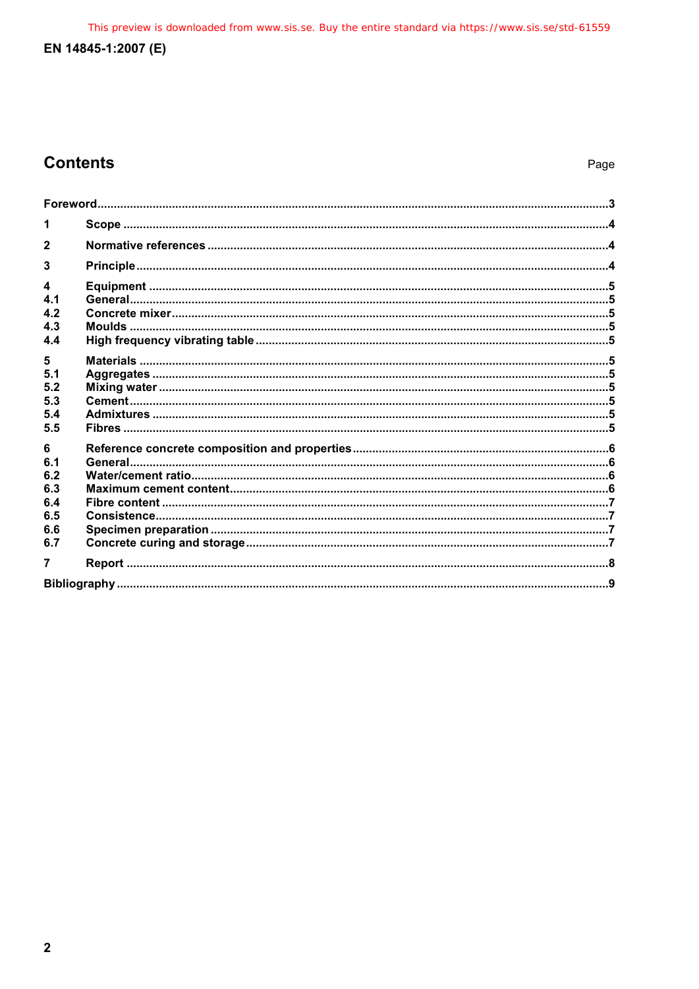This preview is downloaded from www.sis.se. Buy the entire standard via https://www.sis.se/std-61559

### EN 14845-1:2007 (E)

## **Contents**

| 3          |  |  |  |  |  |
|------------|--|--|--|--|--|
| 4          |  |  |  |  |  |
| 4.1<br>4.2 |  |  |  |  |  |
| 4.3        |  |  |  |  |  |
| 4.4        |  |  |  |  |  |
| 5          |  |  |  |  |  |
| 5.1<br>5.2 |  |  |  |  |  |
| 5.3        |  |  |  |  |  |
| 5.4<br>5.5 |  |  |  |  |  |
| 6          |  |  |  |  |  |
| 6.1        |  |  |  |  |  |
| 6.2<br>6.3 |  |  |  |  |  |
| 6.4        |  |  |  |  |  |
| 6.5        |  |  |  |  |  |
| 6.6<br>6.7 |  |  |  |  |  |
| 7          |  |  |  |  |  |
|            |  |  |  |  |  |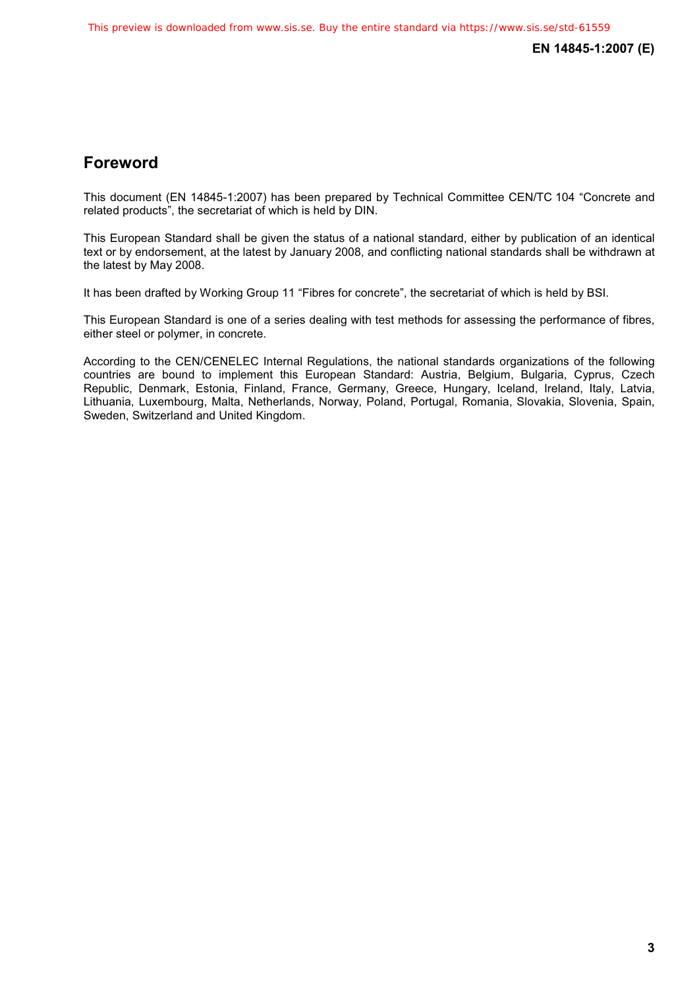**EN 14845-1:2007 (E)** 

## **Foreword**

This document (EN 14845-1:2007) has been prepared by Technical Committee CEN/TC 104 "Concrete and related products", the secretariat of which is held by DIN.

This European Standard shall be given the status of a national standard, either by publication of an identical text or by endorsement, at the latest by January 2008, and conflicting national standards shall be withdrawn at the latest by May 2008.

It has been drafted by Working Group 11 "Fibres for concrete", the secretariat of which is held by BSI.

This European Standard is one of a series dealing with test methods for assessing the performance of fibres, either steel or polymer, in concrete.

According to the CEN/CENELEC Internal Regulations, the national standards organizations of the following countries are bound to implement this European Standard: Austria, Belgium, Bulgaria, Cyprus, Czech Republic, Denmark, Estonia, Finland, France, Germany, Greece, Hungary, Iceland, Ireland, Italy, Latvia, Lithuania, Luxembourg, Malta, Netherlands, Norway, Poland, Portugal, Romania, Slovakia, Slovenia, Spain, Sweden, Switzerland and United Kingdom.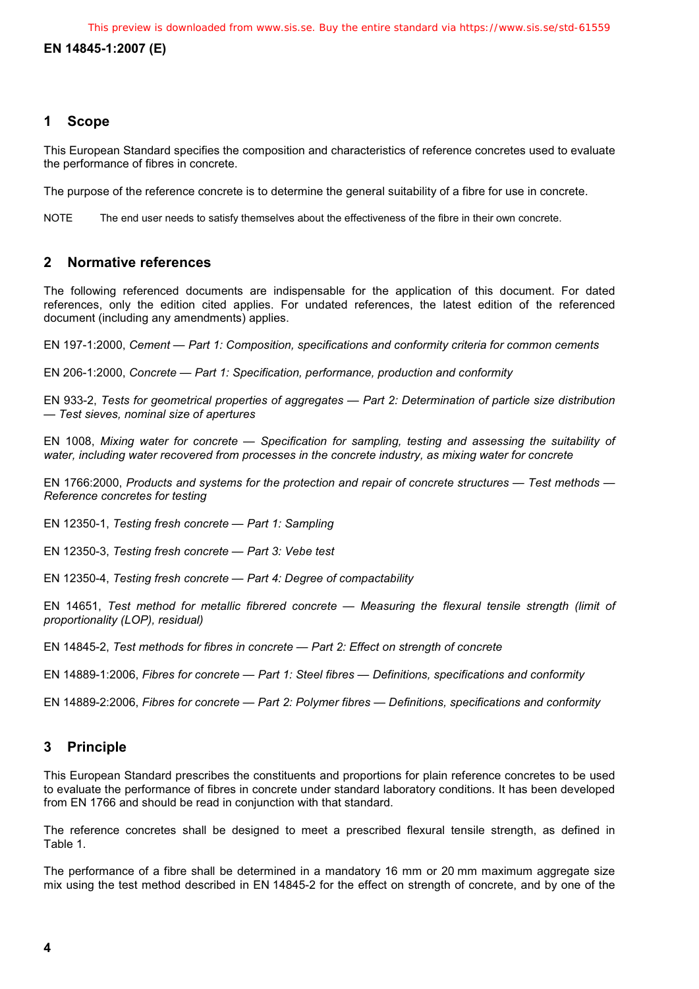#### **EN 14845-1:2007 (E)**

#### **1 Scope**

This European Standard specifies the composition and characteristics of reference concretes used to evaluate the performance of fibres in concrete.

The purpose of the reference concrete is to determine the general suitability of a fibre for use in concrete.

NOTE The end user needs to satisfy themselves about the effectiveness of the fibre in their own concrete.

#### **2 Normative references**

The following referenced documents are indispensable for the application of this document. For dated references, only the edition cited applies. For undated references, the latest edition of the referenced document (including any amendments) applies.

EN 197-1:2000, *Cement — Part 1: Composition, specifications and conformity criteria for common cements*

EN 206-1:2000, *Concrete — Part 1: Specification, performance, production and conformity* 

EN 933-2, *Tests for geometrical properties of aggregates — Part 2: Determination of particle size distribution — Test sieves, nominal size of apertures* 

EN 1008, *Mixing water for concrete — Specification for sampling, testing and assessing the suitability of water, including water recovered from processes in the concrete industry, as mixing water for concrete* 

EN 1766:2000, *Products and systems for the protection and repair of concrete structures — Test methods — Reference concretes for testing* 

EN 12350-1, *Testing fresh concrete — Part 1: Sampling* 

EN 12350-3, *Testing fresh concrete — Part 3: Vebe test* 

EN 12350-4, *Testing fresh concrete — Part 4: Degree of compactability* 

EN 14651, *Test method for metallic fibrered concrete — Measuring the flexural tensile strength (limit of proportionality (LOP), residual)* 

EN 14845-2, *Test methods for fibres in concrete — Part 2: Effect on strength of concrete* 

EN 14889-1:2006, *Fibres for concrete — Part 1: Steel fibres — Definitions, specifications and conformity* 

EN 14889-2:2006, *Fibres for concrete — Part 2: Polymer fibres — Definitions, specifications and conformity*

#### **3 Principle**

This European Standard prescribes the constituents and proportions for plain reference concretes to be used to evaluate the performance of fibres in concrete under standard laboratory conditions. It has been developed from EN 1766 and should be read in conjunction with that standard.

The reference concretes shall be designed to meet a prescribed flexural tensile strength, as defined in Table 1.

The performance of a fibre shall be determined in a mandatory 16 mm or 20 mm maximum aggregate size mix using the test method described in EN 14845-2 for the effect on strength of concrete, and by one of the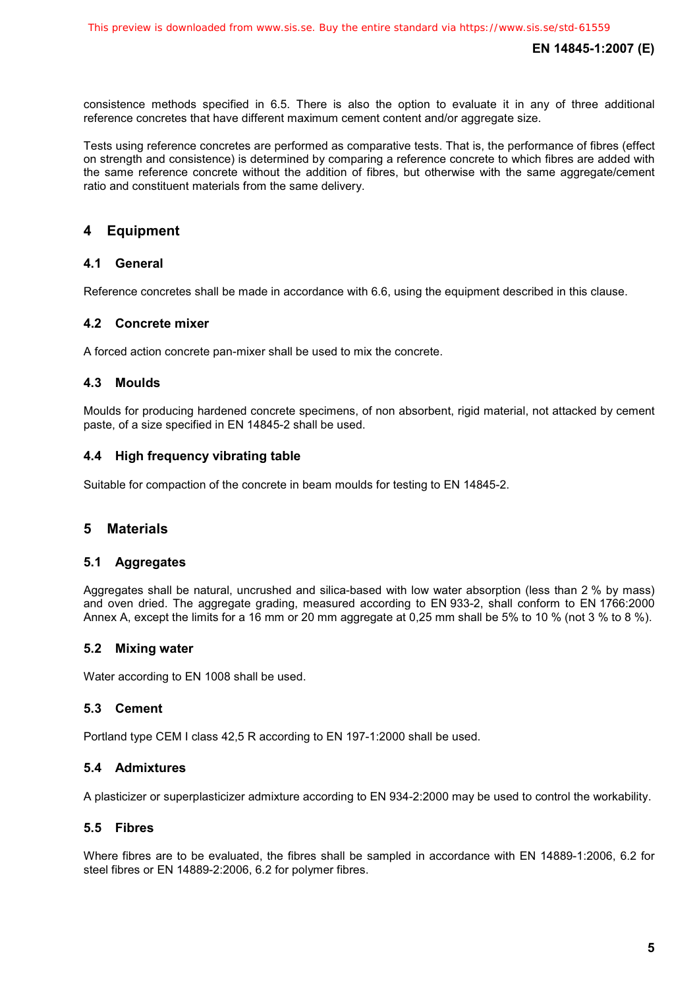consistence methods specified in 6.5. There is also the option to evaluate it in any of three additional reference concretes that have different maximum cement content and/or aggregate size.

Tests using reference concretes are performed as comparative tests. That is, the performance of fibres (effect on strength and consistence) is determined by comparing a reference concrete to which fibres are added with the same reference concrete without the addition of fibres, but otherwise with the same aggregate/cement ratio and constituent materials from the same delivery.

#### **4 Equipment**

#### **4.1 General**

Reference concretes shall be made in accordance with 6.6, using the equipment described in this clause.

#### **4.2 Concrete mixer**

A forced action concrete pan-mixer shall be used to mix the concrete.

#### **4.3 Moulds**

Moulds for producing hardened concrete specimens, of non absorbent, rigid material, not attacked by cement paste, of a size specified in EN 14845-2 shall be used.

#### **4.4 High frequency vibrating table**

Suitable for compaction of the concrete in beam moulds for testing to EN 14845-2.

#### **5 Materials**

#### **5.1 Aggregates**

Aggregates shall be natural, uncrushed and silica-based with low water absorption (less than 2 % by mass) and oven dried. The aggregate grading, measured according to EN 933-2, shall conform to EN 1766:2000 Annex A, except the limits for a 16 mm or 20 mm aggregate at 0,25 mm shall be 5% to 10 % (not 3 % to 8 %).

#### **5.2 Mixing water**

Water according to EN 1008 shall be used.

#### **5.3 Cement**

Portland type CEM I class 42,5 R according to EN 197-1:2000 shall be used.

#### **5.4 Admixtures**

A plasticizer or superplasticizer admixture according to EN 934-2:2000 may be used to control the workability.

#### **5.5 Fibres**

Where fibres are to be evaluated, the fibres shall be sampled in accordance with EN 14889-1:2006, 6.2 for steel fibres or EN 14889-2:2006, 6.2 for polymer fibres.